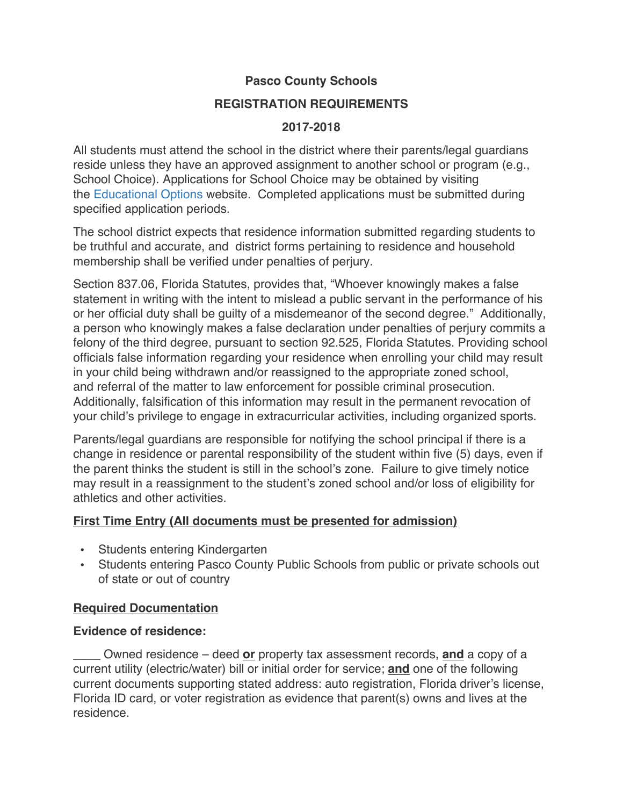# **Pasco County Schools**

#### **REGISTRATION REQUIREMENTS**

#### **2017-2018**

All students must attend the school in the district where their parents/legal guardians reside unless they have an approved assignment to another school or program (e.g., School Choice). Applications for School Choice may be obtained by visiting the Educational Options website. Completed applications must be submitted during specified application periods.

The school district expects that residence information submitted regarding students to be truthful and accurate, and district forms pertaining to residence and household membership shall be verified under penalties of perjury.

Section 837.06, Florida Statutes, provides that, "Whoever knowingly makes a false statement in writing with the intent to mislead a public servant in the performance of his or her official duty shall be guilty of a misdemeanor of the second degree." Additionally, a person who knowingly makes a false declaration under penalties of perjury commits a felony of the third degree, pursuant to section 92.525, Florida Statutes. Providing school officials false information regarding your residence when enrolling your child may result in your child being withdrawn and/or reassigned to the appropriate zoned school, and referral of the matter to law enforcement for possible criminal prosecution. Additionally, falsification of this information may result in the permanent revocation of your child's privilege to engage in extracurricular activities, including organized sports.

Parents/legal guardians are responsible for notifying the school principal if there is a change in residence or parental responsibility of the student within five (5) days, even if the parent thinks the student is still in the school's zone. Failure to give timely notice may result in a reassignment to the student's zoned school and/or loss of eligibility for athletics and other activities.

## **First Time Entry (All documents must be presented for admission)**

- Students entering Kindergarten
- Students entering Pasco County Public Schools from public or private schools out of state or out of country

## **Required Documentation**

#### **Evidence of residence:**

\_\_\_\_ Owned residence – deed **or** property tax assessment records, **and** a copy of a current utility (electric/water) bill or initial order for service; **and** one of the following current documents supporting stated address: auto registration, Florida driver's license, Florida ID card, or voter registration as evidence that parent(s) owns and lives at the residence.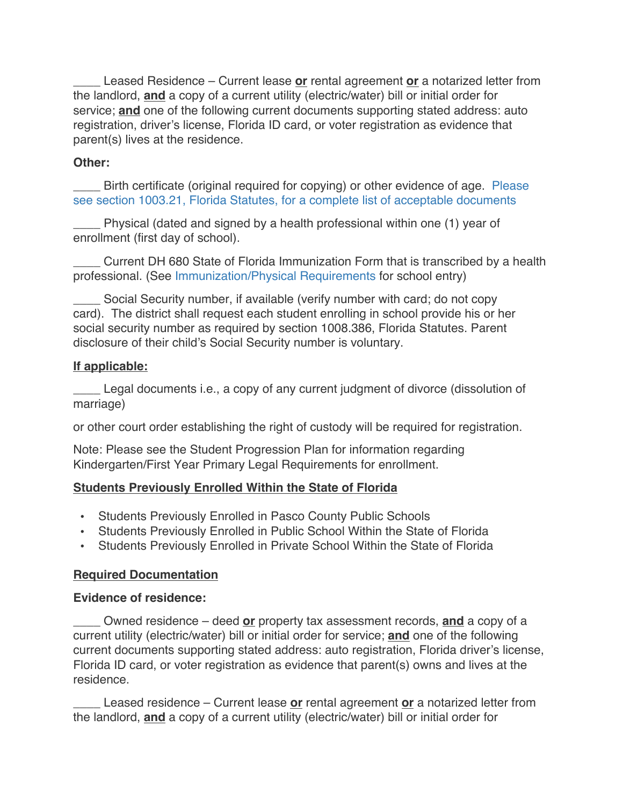Leased Residence – Current lease or rental agreement or a notarized letter from the landlord, **and** a copy of a current utility (electric/water) bill or initial order for service; **and** one of the following current documents supporting stated address: auto registration, driver's license, Florida ID card, or voter registration as evidence that parent(s) lives at the residence.

#### **Other:**

Birth certificate (original required for copying) or other evidence of age. Please see section 1003.21, Florida Statutes, for a complete list of acceptable documents

Physical (dated and signed by a health professional within one (1) year of enrollment (first day of school).

Current DH 680 State of Florida Immunization Form that is transcribed by a health professional. (See Immunization/Physical Requirements for school entry)

\_\_\_\_ Social Security number, if available (verify number with card; do not copy card). The district shall request each student enrolling in school provide his or her social security number as required by section 1008.386, Florida Statutes. Parent disclosure of their child's Social Security number is voluntary.

# **If applicable:**

Legal documents i.e., a copy of any current judgment of divorce (dissolution of marriage)

or other court order establishing the right of custody will be required for registration.

Note: Please see the Student Progression Plan for information regarding Kindergarten/First Year Primary Legal Requirements for enrollment.

## **Students Previously Enrolled Within the State of Florida**

- Students Previously Enrolled in Pasco County Public Schools
- Students Previously Enrolled in Public School Within the State of Florida
- Students Previously Enrolled in Private School Within the State of Florida

## **Required Documentation**

## **Evidence of residence:**

\_\_\_\_ Owned residence – deed **or** property tax assessment records, **and** a copy of a current utility (electric/water) bill or initial order for service; **and** one of the following current documents supporting stated address: auto registration, Florida driver's license, Florida ID card, or voter registration as evidence that parent(s) owns and lives at the residence.

\_\_\_\_ Leased residence – Current lease **or** rental agreement **or** a notarized letter from the landlord, **and** a copy of a current utility (electric/water) bill or initial order for